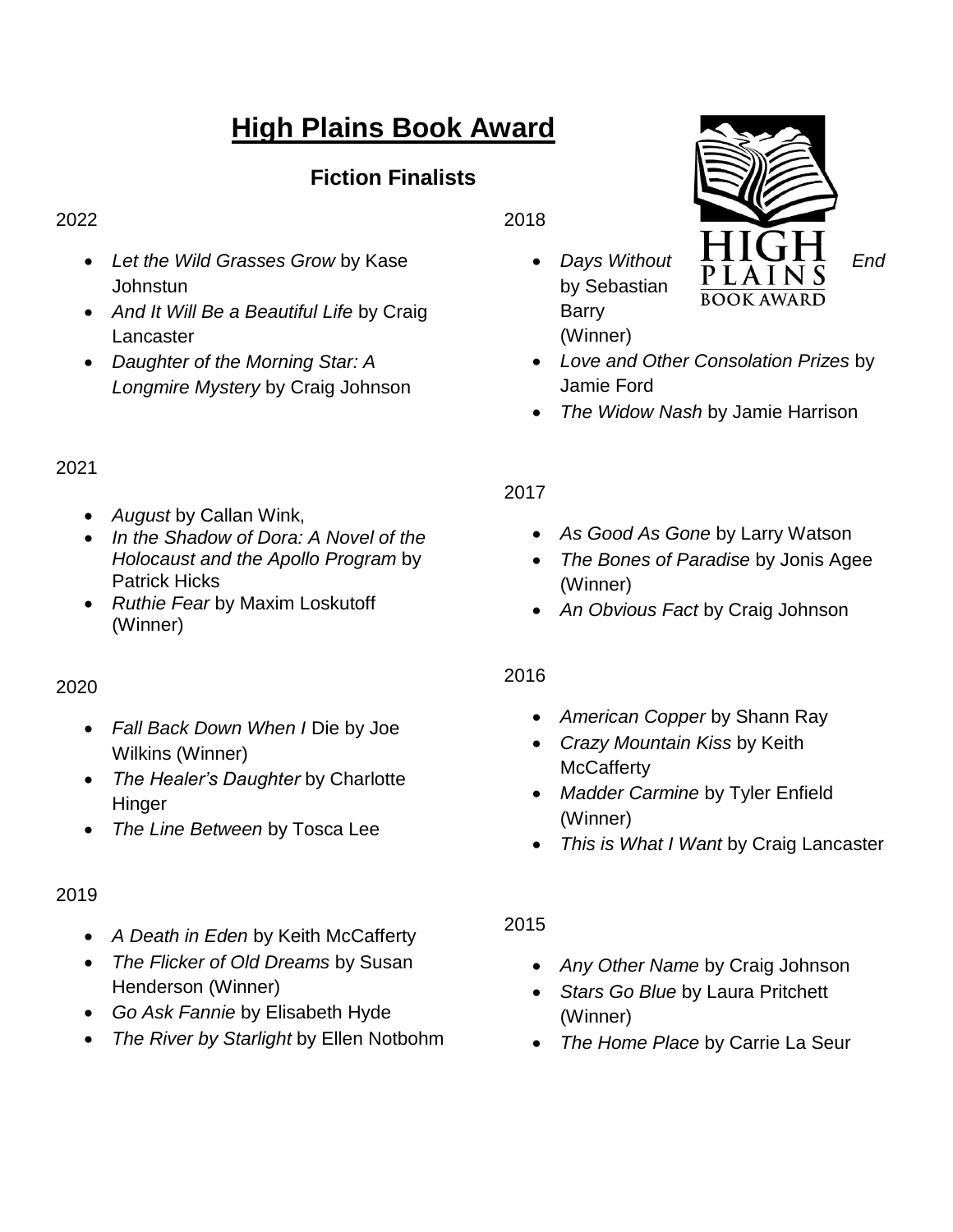# **High Plains Book Award**

# **Fiction Finalists**

#### 2022

- *Let the Wild Grasses Grow* by Kase Johnstun
- *And It Will Be a Beautiful Life* by Craig Lancaster
- *Daughter of the Morning Star: A Longmire Mystery* by Craig Johnson

# 2021

- *August* by Callan Wink,
- *In the Shadow of Dora: A Novel of the Holocaust and the Apollo Program* by Patrick Hicks
- *Ruthie Fear* by Maxim Loskutoff (Winner)

## 2020

- *Fall Back Down When I* Die by Joe Wilkins (Winner)
- *The Healer's Daughter* by Charlotte Hinger
- *The Line Between* by Tosca Lee

## 2019

- *A Death in Eden* by Keith McCafferty
- *The Flicker of Old Dreams* by Susan Henderson (Winner)
- *Go Ask Fannie* by Elisabeth Hyde
- *The River by Starlight* by Ellen Notbohm

2018

by Sebastian Barry (Winner)



- *Love and Other Consolation Prizes* by Jamie Ford
- *The Widow Nash* by Jamie Harrison

# 2017

- *As Good As Gone* by Larry Watson
- *The Bones of Paradise* by Jonis Agee (Winner)
- *An Obvious Fact* by Craig Johnson

# 2016

- *American Copper* by Shann Ray
- *Crazy Mountain Kiss* by Keith **McCafferty**
- *Madder Carmine* by Tyler Enfield (Winner)
- *This is What I Want* by Craig Lancaster

# 2015

- *Any Other Name* by Craig Johnson
- *Stars Go Blue* by Laura Pritchett (Winner)
- *The Home Place* by Carrie La Seur